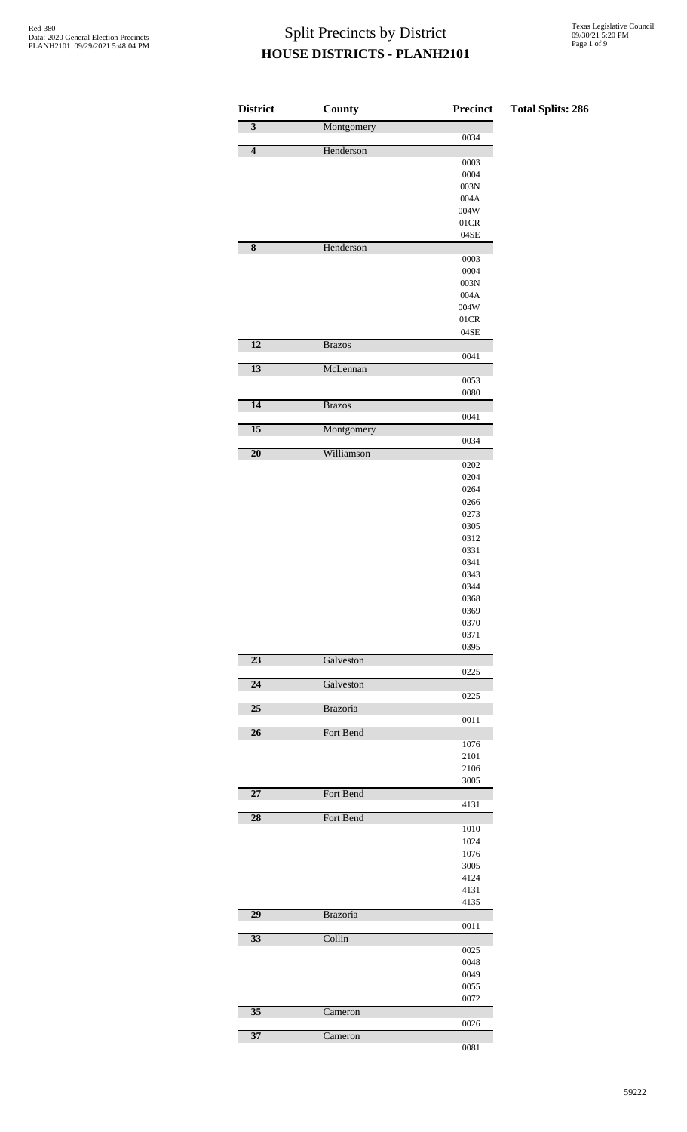| <b>District</b>         | County        | Precinct                           | <b>Total Splits: 286</b> |
|-------------------------|---------------|------------------------------------|--------------------------|
| $\overline{\mathbf{3}}$ | Montgomery    |                                    |                          |
| $\overline{\mathbf{4}}$ | Henderson     | 0034                               |                          |
|                         |               | 0003                               |                          |
|                         |               | 0004                               |                          |
|                         |               | $003\mathrm{N}$                    |                          |
|                         |               | $004\mathrm{A}$<br>$004\mathrm{W}$ |                          |
|                         |               | $01\mathrm{CR}$                    |                          |
|                         |               | $04\mathrm{SE}$                    |                          |
| $\overline{\mathbf{8}}$ | Henderson     |                                    |                          |
|                         |               | 0003                               |                          |
|                         |               | 0004                               |                          |
|                         |               | $003\mathrm{N}$<br>$004\mathrm{A}$ |                          |
|                         |               | $004\mathrm{W}$                    |                          |
|                         |               | $01\mathrm{CR}$                    |                          |
|                         |               | $04\mathrm{SE}$                    |                          |
| $\overline{12}$         | <b>Brazos</b> |                                    |                          |
| $\overline{13}$         | McLennan      | 0041                               |                          |
|                         |               | 0053                               |                          |
|                         |               | ${\bf 0080}$                       |                          |
| 14                      | <b>Brazos</b> |                                    |                          |
|                         |               | 0041                               |                          |
| $\overline{15}$         | Montgomery    | 0034                               |                          |
| $\overline{20}$         | Williamson    |                                    |                          |
|                         |               | 0202                               |                          |
|                         |               | 0204                               |                          |
|                         |               | 0264                               |                          |
|                         |               | 0266                               |                          |
|                         |               | 0273<br>0305                       |                          |
|                         |               | 0312                               |                          |
|                         |               | 0331                               |                          |
|                         |               | 0341                               |                          |
|                         |               | 0343                               |                          |
|                         |               | 0344                               |                          |
|                         |               | 0368<br>0369                       |                          |
|                         |               | 0370                               |                          |
|                         |               | 0371                               |                          |
|                         |               | 0395                               |                          |
| 23                      | Galveston     |                                    |                          |
| $\overline{24}$         |               | 0225                               |                          |
|                         | Galveston     | 0225                               |                          |
| $\overline{25}$         | Brazoria      |                                    |                          |
|                         |               | 0011                               |                          |
| $\overline{26}$         | Fort Bend     |                                    |                          |
|                         |               | 1076                               |                          |
|                         |               | 2101<br>2106                       |                          |
|                         |               | 3005                               |                          |
| 27                      | Fort Bend     |                                    |                          |
|                         |               | 4131                               |                          |
| 28                      | Fort Bend     |                                    |                          |
|                         |               | 1010<br>1024                       |                          |
|                         |               | 1076                               |                          |
|                         |               | 3005                               |                          |
|                         |               | 4124                               |                          |
|                         |               | 4131                               |                          |
|                         |               | 4135                               |                          |
| $\overline{29}$         | Brazoria      | 0011                               |                          |
| 33                      | Collin        |                                    |                          |
|                         |               | 0025                               |                          |
|                         |               | 0048                               |                          |
|                         |               | 0049                               |                          |
|                         |               | 0055                               |                          |
| $\overline{35}$         | Cameron       | 0072                               |                          |
|                         |               | 0026                               |                          |
| $\overline{37}$         | Cameron       |                                    |                          |
|                         |               | 0081                               |                          |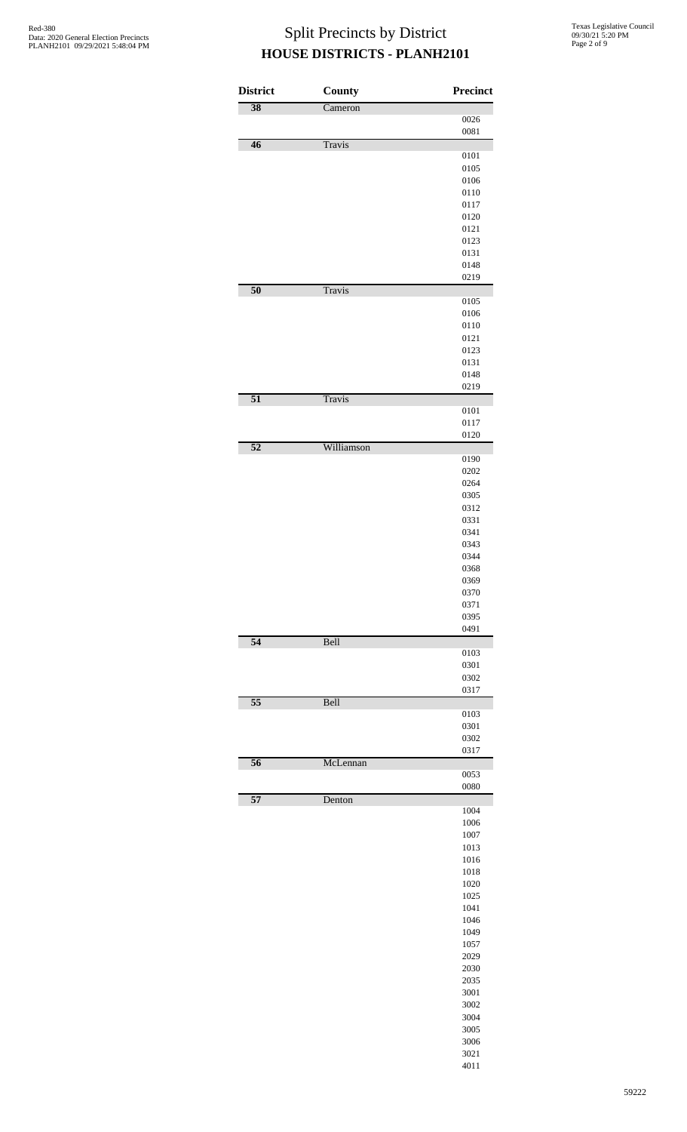| <b>District</b> | County        | <b>Precinct</b> |
|-----------------|---------------|-----------------|
| 38              | Cameron       |                 |
|                 |               | 0026            |
| $\overline{46}$ | <b>Travis</b> | 0081            |
|                 |               | 0101            |
|                 |               | 0105            |
|                 |               | 0106            |
|                 |               | 0110            |
|                 |               | 0117            |
|                 |               | 0120            |
|                 |               | 0121            |
|                 |               | 0123            |
|                 |               | 0131<br>0148    |
|                 |               | 0219            |
| 50              | <b>Travis</b> |                 |
|                 |               | 0105            |
|                 |               | 0106            |
|                 |               | 0110            |
|                 |               | 0121            |
|                 |               | 0123            |
|                 |               | 0131<br>0148    |
|                 |               | 0219            |
| $\overline{51}$ | <b>Travis</b> |                 |
|                 |               | 0101            |
|                 |               | 0117            |
|                 |               | 0120            |
| $\overline{52}$ | Williamson    |                 |
|                 |               | 0190<br>0202    |
|                 |               | 0264            |
|                 |               | 0305            |
|                 |               | 0312            |
|                 |               | 0331            |
|                 |               | 0341            |
|                 |               | 0343            |
|                 |               | 0344            |
|                 |               | 0368            |
|                 |               | 0369            |
|                 |               | 0370            |
|                 |               | 0371<br>0395    |
|                 |               | 0491            |
| $\overline{54}$ | Bell          |                 |
|                 |               | 0103            |
|                 |               | 0301            |
|                 |               | 0302            |
|                 |               | 0317            |
| $\overline{55}$ | Bell          | 0103            |
|                 |               | 0301            |
|                 |               | 0302            |
|                 |               | 0317            |
| $\overline{56}$ | McLennan      |                 |
|                 |               | 0053            |
|                 |               | 0080            |
| $\overline{57}$ | Denton        | 1004            |
|                 |               | 1006            |
|                 |               | 1007            |
|                 |               | 1013            |
|                 |               | 1016            |
|                 |               | 1018            |
|                 |               | 1020            |
|                 |               | 1025            |
|                 |               | 1041            |
|                 |               | 1046            |
|                 |               | 1049            |
|                 |               | 1057            |
|                 |               | 2029            |
|                 |               | 2030<br>2035    |
|                 |               | 3001            |
|                 |               | 3002            |
|                 |               | 3004            |
|                 |               | 3005            |
|                 |               | 3006            |
|                 |               | 3021            |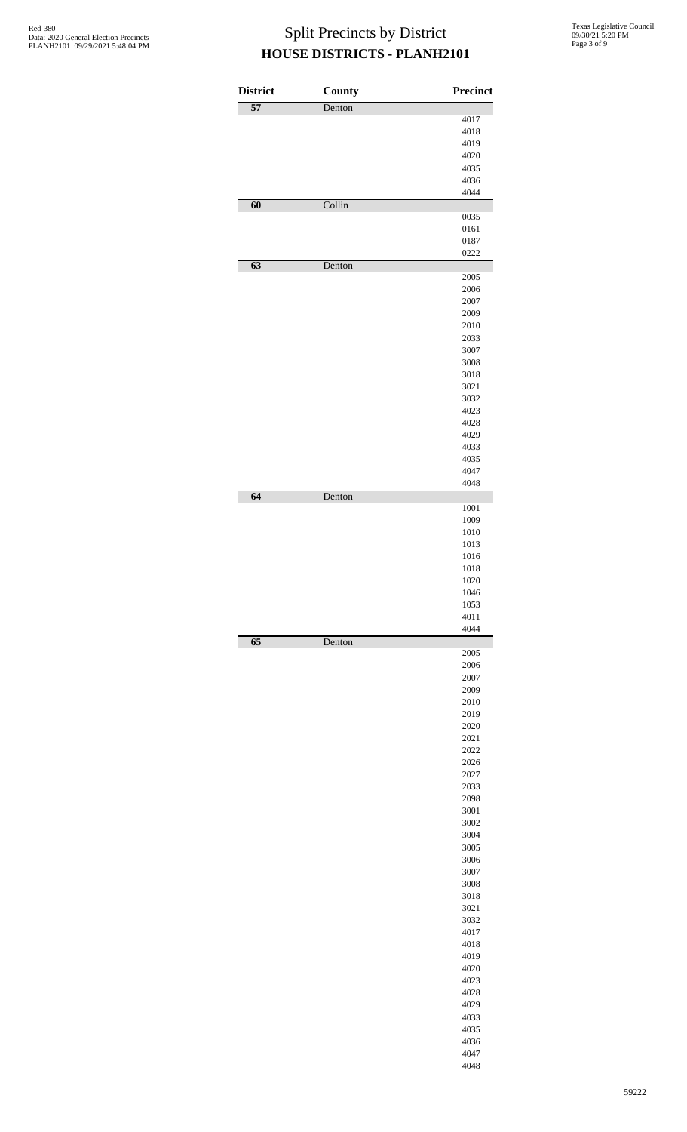| <b>District</b> | County | Precinct     |
|-----------------|--------|--------------|
| $\overline{57}$ | Denton |              |
|                 |        | 4017         |
|                 |        | 4018         |
|                 |        | 4019         |
|                 |        | 4020<br>4035 |
|                 |        | 4036         |
|                 |        | 4044         |
| 60              | Collin |              |
|                 |        | 0035         |
|                 |        | 0161         |
|                 |        | 0187         |
| $\overline{63}$ | Denton | 0222         |
|                 |        | 2005         |
|                 |        | 2006         |
|                 |        | 2007         |
|                 |        | 2009         |
|                 |        | 2010         |
|                 |        | 2033         |
|                 |        | 3007         |
|                 |        | 3008         |
|                 |        | 3018<br>3021 |
|                 |        | 3032         |
|                 |        | 4023         |
|                 |        | 4028         |
|                 |        | 4029         |
|                 |        | 4033         |
|                 |        | 4035         |
|                 |        | 4047         |
|                 |        | 4048         |
| 64              | Denton | 1001         |
|                 |        | 1009         |
|                 |        | 1010         |
|                 |        | 1013         |
|                 |        | 1016         |
|                 |        | 1018         |
|                 |        | 1020         |
|                 |        | 1046         |
|                 |        | 1053         |
|                 |        | 4011<br>4044 |
| $\overline{65}$ | Denton |              |
|                 |        | 2005         |
|                 |        | 2006         |
|                 |        | 2007         |
|                 |        | 2009         |
|                 |        | 2010<br>2019 |
|                 |        | 2020         |
|                 |        | 2021         |
|                 |        | 2022         |
|                 |        | 2026         |
|                 |        | 2027         |
|                 |        | 2033         |
|                 |        | 2098         |
|                 |        | 3001         |
|                 |        | 3002         |
|                 |        | 3004         |
|                 |        | 3005         |
|                 |        | 3006         |
|                 |        | 3007         |
|                 |        | 3008<br>3018 |
|                 |        | 3021         |
|                 |        | 3032         |
|                 |        | 4017         |
|                 |        | 4018         |
|                 |        | 4019         |
|                 |        | 4020         |
|                 |        | 4023         |
|                 |        | 4028         |
|                 |        | 4029         |
|                 |        | 4033         |
|                 |        | 4035         |
|                 |        | 4036         |
|                 |        | 4047         |
|                 |        | 4048         |
|                 |        |              |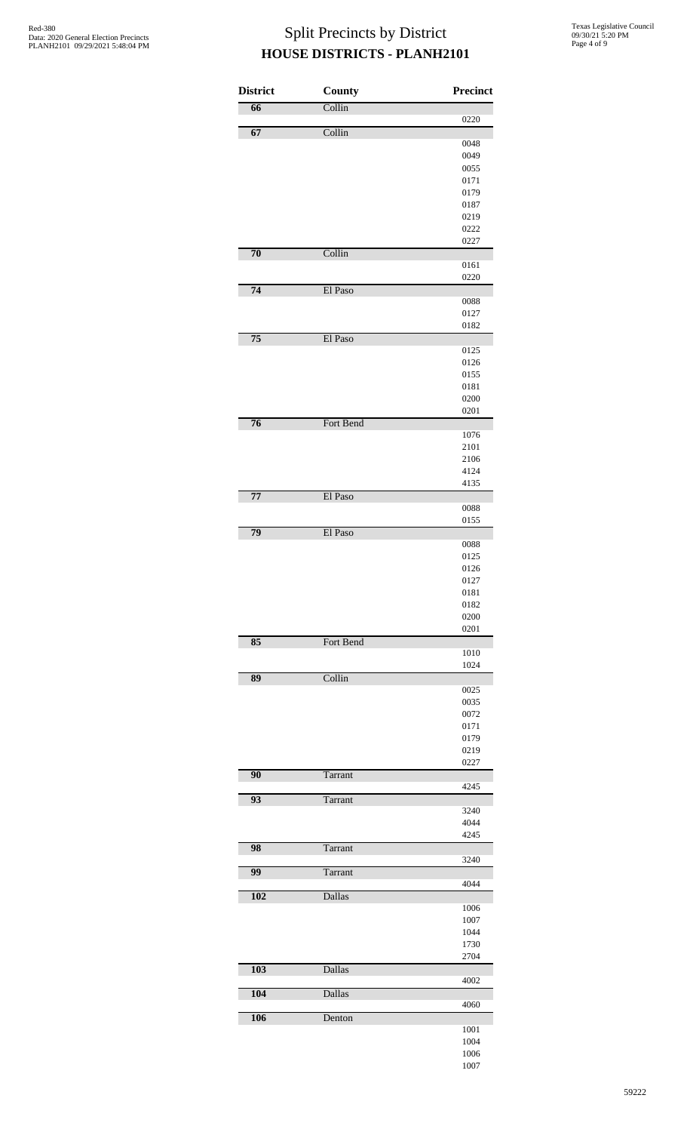| <b>District</b> | <b>County</b> | <b>Precinct</b> |
|-----------------|---------------|-----------------|
| $\overline{66}$ | Collin        |                 |
| 67              | Collin        | 0220            |
|                 |               | 0048            |
|                 |               | 0049            |
|                 |               | 0055            |
|                 |               | 0171            |
|                 |               | 0179            |
|                 |               | 0187            |
|                 |               | 0219<br>0222    |
|                 |               | 0227            |
| 70              | Collin        |                 |
|                 |               | 0161            |
|                 |               | 0220            |
| 74              | El Paso       |                 |
|                 |               | 0088            |
|                 |               | 0127<br>0182    |
| $\overline{75}$ | El Paso       |                 |
|                 |               | 0125            |
|                 |               | 0126            |
|                 |               | 0155            |
|                 |               | 0181            |
|                 |               | 0200            |
|                 |               | 0201            |
| $\overline{76}$ | Fort Bend     |                 |
|                 |               | 1076            |
|                 |               | 2101            |
|                 |               | 2106            |
|                 |               | 4124            |
| $\overline{77}$ | El Paso       | 4135            |
|                 |               | 0088            |
|                 |               | 0155            |
| 79              | El Paso       |                 |
|                 |               | 0088            |
|                 |               | 0125            |
|                 |               | 0126            |
|                 |               | 0127            |
|                 |               | 0181            |
|                 |               | 0182            |
|                 |               | 0200            |
| 85              | Fort Bend     | 0201            |
|                 |               | 1010            |
|                 |               | 1024            |
| 89              | Collin        |                 |
|                 |               | 0025            |
|                 |               | 0035            |
|                 |               | 0072            |
|                 |               | 0171            |
|                 |               | 0179            |
|                 |               | 0219            |
| 90              | Tarrant       | 0227            |
|                 |               | 4245            |
| 93              | Tarrant       |                 |
|                 |               | 3240            |
|                 |               | 4044            |
|                 |               | 4245            |
| 98              | Tarrant       |                 |
|                 |               | 3240            |
| 99              | Tarrant       |                 |
| 102             | <b>Dallas</b> | 4044            |
|                 |               | 1006            |
|                 |               | 1007            |
|                 |               | 1044            |
|                 |               | 1730            |
|                 |               | 2704            |
| 103             | Dallas        |                 |
|                 |               | 4002            |
| 104             | <b>Dallas</b> |                 |
|                 |               | 4060            |
| 106             | Denton        |                 |
|                 |               | 1001            |
|                 |               | 1004            |
|                 |               | 1006<br>1007    |
|                 |               |                 |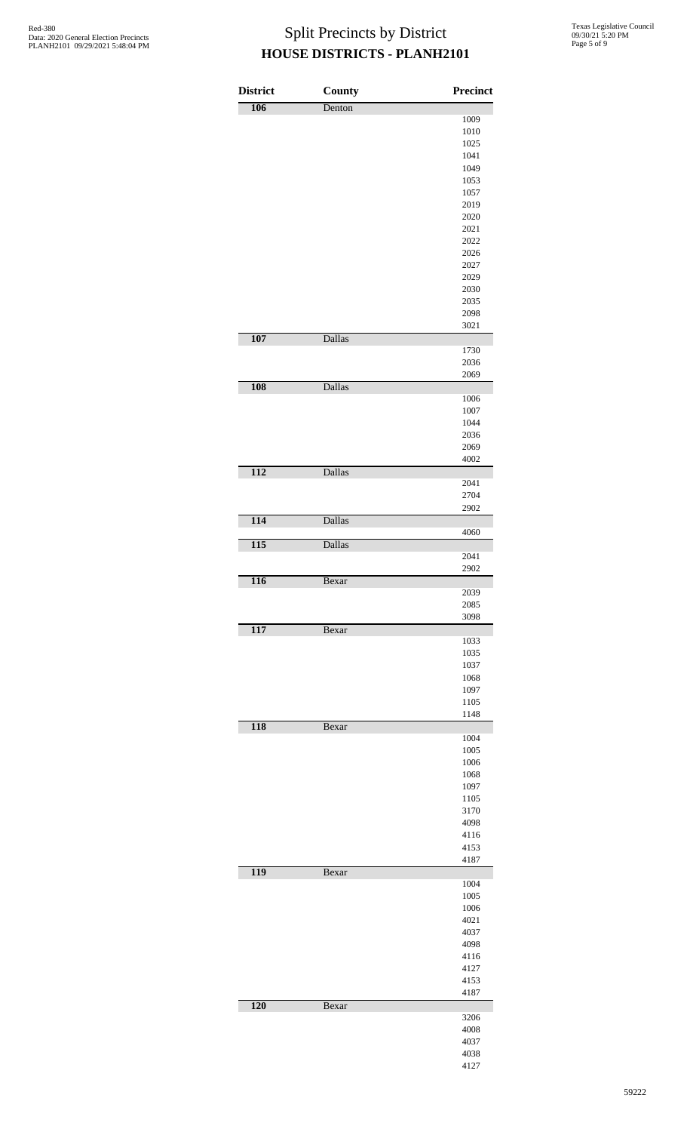| <b>District</b>  | <b>County</b> | <b>Precinct</b> |
|------------------|---------------|-----------------|
| 106              | Denton        | 1009            |
|                  |               | 1010            |
|                  |               | 1025            |
|                  |               | 1041            |
|                  |               | 1049            |
|                  |               | 1053            |
|                  |               | 1057<br>2019    |
|                  |               | 2020            |
|                  |               | 2021            |
|                  |               | 2022            |
|                  |               | 2026            |
|                  |               | 2027            |
|                  |               | 2029            |
|                  |               | 2030            |
|                  |               | 2035            |
|                  |               | 2098            |
| 107              | Dallas        | 3021            |
|                  |               | 1730            |
|                  |               | 2036            |
|                  |               | 2069            |
| 108              | <b>Dallas</b> |                 |
|                  |               | 1006            |
|                  |               | 1007            |
|                  |               | 1044<br>2036    |
|                  |               | 2069            |
|                  |               | 4002            |
| 112              | Dallas        |                 |
|                  |               | 2041            |
|                  |               | 2704            |
|                  |               | 2902            |
| 114              | Dallas        |                 |
|                  |               | 4060            |
| $\overline{115}$ | Dallas        |                 |
|                  |               | 2041            |
|                  |               | 2902            |
| 116              | Bexar         | 2039            |
|                  |               | 2085            |
|                  |               | 3098            |
| 117              | Bexar         |                 |
|                  |               | 1033            |
|                  |               | 1035            |
|                  |               | 1037            |
|                  |               | 1068            |
|                  |               | 1097            |
|                  |               | 1105            |
|                  |               | 1148            |
| 118              | Bexar         | 1004            |
|                  |               | 1005            |
|                  |               | 1006            |
|                  |               | 1068            |
|                  |               | 1097            |
|                  |               | 1105            |
|                  |               | 3170            |
|                  |               | 4098            |
|                  |               | 4116            |
|                  |               | 4153            |
|                  |               | 4187            |
| 119              | Bexar         |                 |
|                  |               | 1004            |
|                  |               | 1005<br>1006    |
|                  |               | 4021            |
|                  |               | 4037            |
|                  |               | 4098            |
|                  |               | 4116            |
|                  |               | 4127            |
|                  |               | 4153            |
|                  |               | 4187            |
| 120              | Bexar         |                 |
|                  |               | 3206            |
|                  |               | 4008            |
|                  |               | 4037            |
|                  |               | 4038            |
|                  |               | 4127            |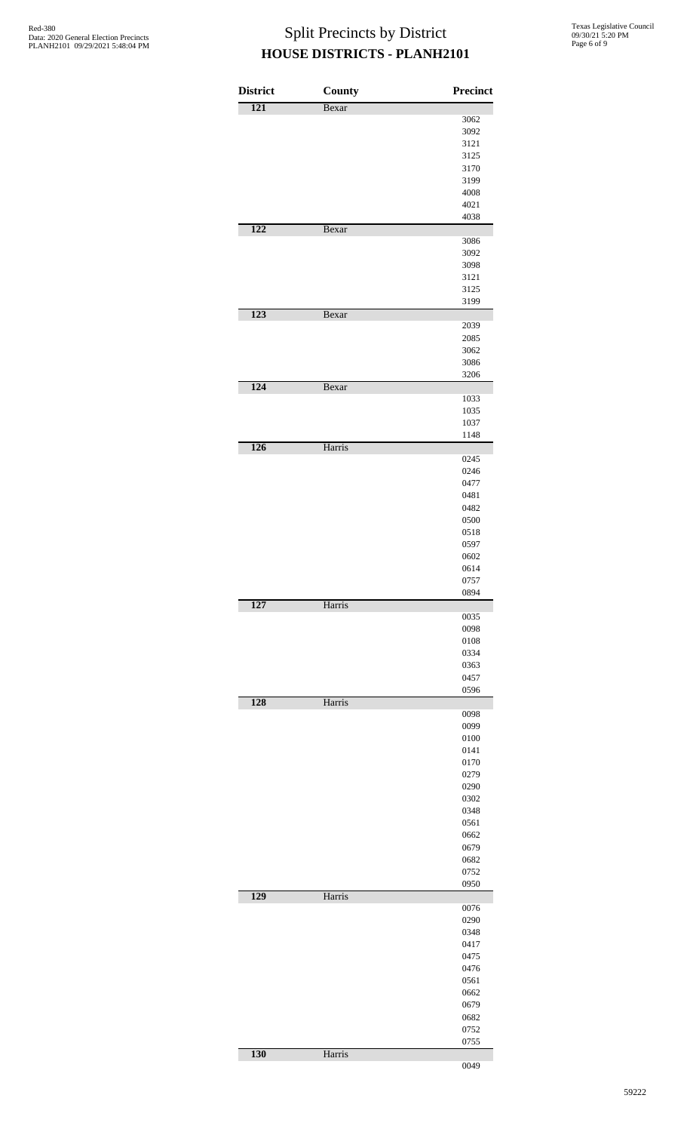| <b>District</b> | County | Precinct     |
|-----------------|--------|--------------|
| 121             | Bexar  |              |
|                 |        | 3062         |
|                 |        | 3092         |
|                 |        | 3121         |
|                 |        | 3125         |
|                 |        | 3170         |
|                 |        | 3199         |
|                 |        | 4008         |
|                 |        | 4021         |
|                 |        | 4038         |
| 122             | Bexar  |              |
|                 |        | 3086<br>3092 |
|                 |        | 3098         |
|                 |        | 3121         |
|                 |        | 3125         |
|                 |        | 3199         |
| 123             | Bexar  |              |
|                 |        | 2039         |
|                 |        | 2085         |
|                 |        | 3062         |
|                 |        | 3086         |
|                 |        | 3206         |
| 124             | Bexar  |              |
|                 |        | 1033         |
|                 |        | 1035         |
|                 |        | 1037         |
| 126             | Harris | 1148         |
|                 |        | 0245         |
|                 |        | 0246         |
|                 |        | 0477         |
|                 |        | 0481         |
|                 |        | 0482         |
|                 |        | 0500         |
|                 |        | 0518         |
|                 |        | 0597         |
|                 |        | 0602         |
|                 |        | 0614         |
|                 |        | 0757         |
|                 |        | 0894         |
| 127             | Harris |              |
|                 |        | 0035         |
|                 |        | 0098         |
|                 |        | 0108         |
|                 |        | 0334         |
|                 |        | 0363         |
|                 |        | 0457         |
| 128             | Harris | 0596         |
|                 |        | 0098         |
|                 |        | 0099         |
|                 |        | 0100         |
|                 |        | 0141         |
|                 |        | 0170         |
|                 |        | 0279         |
|                 |        | 0290         |
|                 |        | 0302         |
|                 |        | 0348         |
|                 |        | 0561         |
|                 |        | 0662         |
|                 |        | 0679         |
|                 |        | 0682         |
|                 |        | 0752         |
|                 |        | 0950         |
| 129             | Harris |              |
|                 |        | 0076         |
|                 |        | 0290         |
|                 |        | 0348         |
|                 |        | 0417         |
|                 |        | 0475         |
|                 |        | 0476         |
|                 |        | 0561         |
|                 |        | 0662         |
|                 |        | 0679         |
|                 |        | 0682         |
|                 |        | 0752         |
|                 |        | 0755         |
| 130             | Harris |              |
|                 |        | 0049         |
|                 |        |              |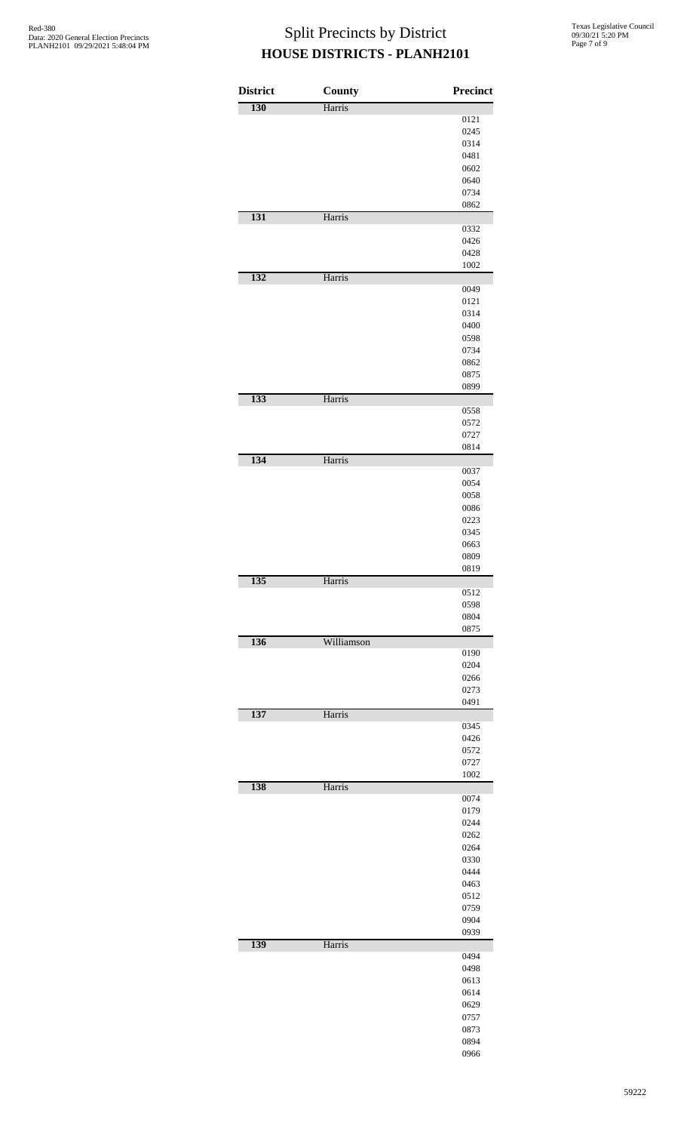| 130<br>Harris<br>131<br>Harris<br>132<br>Harris<br>133<br>Harris<br>134<br>Harris<br>135<br>Harris<br>136<br>Williamson<br>137<br>Harris<br>138<br>Harris | 0121<br>0245<br>0314<br>0481<br>0602<br>0640<br>0734<br>0862<br>0332<br>0426<br>0428<br>1002 |
|-----------------------------------------------------------------------------------------------------------------------------------------------------------|----------------------------------------------------------------------------------------------|
|                                                                                                                                                           |                                                                                              |
|                                                                                                                                                           |                                                                                              |
|                                                                                                                                                           |                                                                                              |
|                                                                                                                                                           |                                                                                              |
|                                                                                                                                                           |                                                                                              |
|                                                                                                                                                           |                                                                                              |
|                                                                                                                                                           |                                                                                              |
|                                                                                                                                                           |                                                                                              |
|                                                                                                                                                           |                                                                                              |
|                                                                                                                                                           |                                                                                              |
|                                                                                                                                                           |                                                                                              |
|                                                                                                                                                           |                                                                                              |
|                                                                                                                                                           |                                                                                              |
|                                                                                                                                                           |                                                                                              |
|                                                                                                                                                           |                                                                                              |
|                                                                                                                                                           | 0049                                                                                         |
|                                                                                                                                                           | 0121                                                                                         |
|                                                                                                                                                           | 0314                                                                                         |
|                                                                                                                                                           | 0400                                                                                         |
|                                                                                                                                                           | 0598                                                                                         |
|                                                                                                                                                           | 0734                                                                                         |
|                                                                                                                                                           | 0862                                                                                         |
|                                                                                                                                                           |                                                                                              |
|                                                                                                                                                           | 0875                                                                                         |
|                                                                                                                                                           | 0899                                                                                         |
|                                                                                                                                                           |                                                                                              |
|                                                                                                                                                           | 0558                                                                                         |
|                                                                                                                                                           | 0572                                                                                         |
|                                                                                                                                                           | 0727                                                                                         |
|                                                                                                                                                           | 0814                                                                                         |
|                                                                                                                                                           |                                                                                              |
|                                                                                                                                                           | 0037                                                                                         |
|                                                                                                                                                           | 0054                                                                                         |
|                                                                                                                                                           | 0058                                                                                         |
|                                                                                                                                                           | 0086                                                                                         |
|                                                                                                                                                           | 0223                                                                                         |
|                                                                                                                                                           | 0345                                                                                         |
|                                                                                                                                                           | 0663                                                                                         |
|                                                                                                                                                           | 0809                                                                                         |
|                                                                                                                                                           | 0819                                                                                         |
|                                                                                                                                                           |                                                                                              |
|                                                                                                                                                           | 0512                                                                                         |
|                                                                                                                                                           | 0598                                                                                         |
|                                                                                                                                                           | 0804                                                                                         |
|                                                                                                                                                           | 0875                                                                                         |
|                                                                                                                                                           |                                                                                              |
|                                                                                                                                                           | 0190                                                                                         |
|                                                                                                                                                           | 0204                                                                                         |
|                                                                                                                                                           | 0266                                                                                         |
|                                                                                                                                                           | 0273                                                                                         |
|                                                                                                                                                           | 0491                                                                                         |
|                                                                                                                                                           |                                                                                              |
|                                                                                                                                                           | 0345                                                                                         |
|                                                                                                                                                           |                                                                                              |
|                                                                                                                                                           | 0426                                                                                         |
|                                                                                                                                                           | 0572                                                                                         |
|                                                                                                                                                           | 0727                                                                                         |
|                                                                                                                                                           | 1002                                                                                         |
|                                                                                                                                                           |                                                                                              |
|                                                                                                                                                           | 0074                                                                                         |
|                                                                                                                                                           | 0179                                                                                         |
|                                                                                                                                                           | 0244                                                                                         |
|                                                                                                                                                           | 0262                                                                                         |
|                                                                                                                                                           | 0264                                                                                         |
|                                                                                                                                                           | 0330                                                                                         |
|                                                                                                                                                           | 0444                                                                                         |
|                                                                                                                                                           | 0463                                                                                         |
|                                                                                                                                                           | 0512                                                                                         |
|                                                                                                                                                           | 0759                                                                                         |
|                                                                                                                                                           | 0904                                                                                         |
|                                                                                                                                                           | 0939                                                                                         |
| 139<br>Harris                                                                                                                                             |                                                                                              |
|                                                                                                                                                           | 0494                                                                                         |
|                                                                                                                                                           | 0498                                                                                         |
|                                                                                                                                                           | 0613                                                                                         |
|                                                                                                                                                           |                                                                                              |
|                                                                                                                                                           | 0614                                                                                         |
|                                                                                                                                                           |                                                                                              |
|                                                                                                                                                           | 0629                                                                                         |
|                                                                                                                                                           | 0757                                                                                         |
|                                                                                                                                                           | 0873                                                                                         |
|                                                                                                                                                           | 0894<br>0966                                                                                 |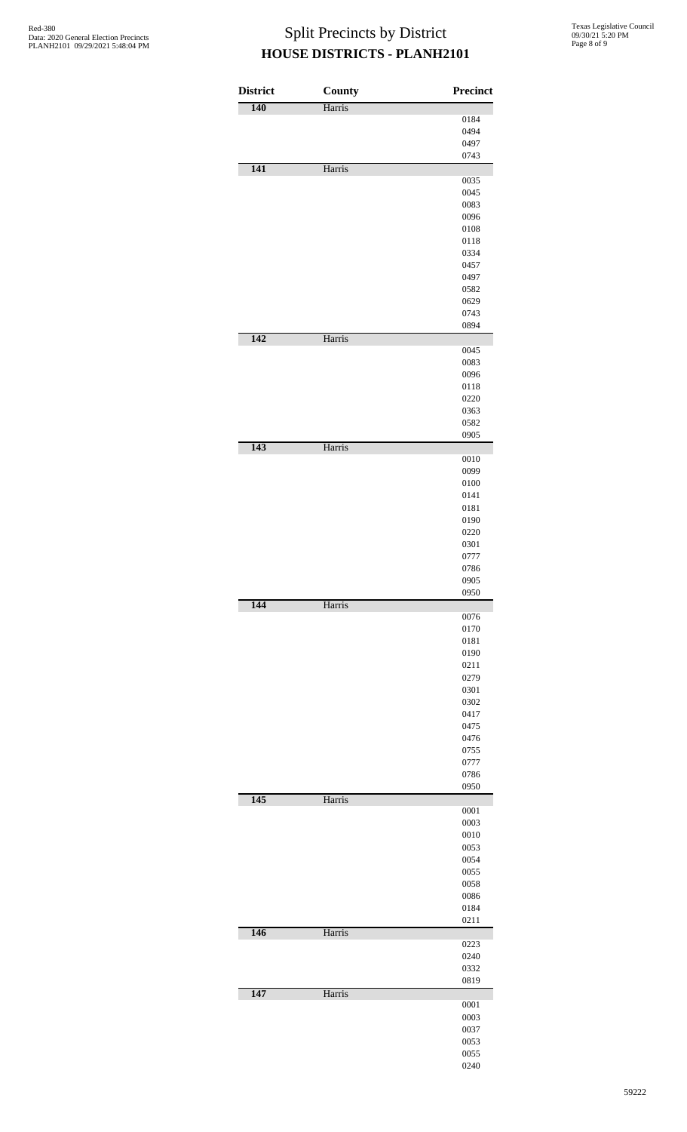| <b>District</b> | <b>County</b> | Precinct     |
|-----------------|---------------|--------------|
| 140             | Harris        |              |
|                 |               | 0184         |
|                 |               | 0494         |
|                 |               | 0497         |
|                 |               | 0743         |
| 141             | Harris        |              |
|                 |               | 0035         |
|                 |               | 0045         |
|                 |               | 0083         |
|                 |               | 0096         |
|                 |               | 0108         |
|                 |               | 0118         |
|                 |               | 0334         |
|                 |               | 0457         |
|                 |               | 0497         |
|                 |               | 0582         |
|                 |               | 0629         |
|                 |               | 0743         |
| 142             |               | 0894         |
|                 | Harris        | 0045         |
|                 |               | 0083         |
|                 |               | 0096         |
|                 |               | 0118         |
|                 |               | 0220         |
|                 |               |              |
|                 |               | 0363         |
|                 |               | 0582<br>0905 |
| 143             | Harris        |              |
|                 |               | 0010         |
|                 |               | 0099         |
|                 |               | 0100         |
|                 |               | 0141         |
|                 |               | 0181         |
|                 |               | 0190         |
|                 |               | 0220         |
|                 |               | 0301         |
|                 |               | 0777         |
|                 |               | 0786         |
|                 |               | 0905         |
|                 |               | 0950         |
| 144             | Harris        |              |
|                 |               | 0076         |
|                 |               | 0170         |
|                 |               | 0181         |
|                 |               | 0190         |
|                 |               | 0211         |
|                 |               | 0279         |
|                 |               | 0301         |
|                 |               | 0302         |
|                 |               | 0417         |
|                 |               | 0475         |
|                 |               | 0476         |
|                 |               | 0755         |
|                 |               | 0777         |
|                 |               | 0786         |
|                 |               | 0950         |
| 145             | Harris        |              |
|                 |               | 0001         |
|                 |               | 0003         |
|                 |               | 0010         |
|                 |               | 0053<br>0054 |
|                 |               |              |
|                 |               | 0055         |
|                 |               | 0058         |
|                 |               | 0086         |
|                 |               | 0184<br>0211 |
| 146             | Harris        |              |
|                 |               | 0223         |
|                 |               | 0240         |
|                 |               |              |
|                 |               | 0332<br>0819 |
| 147             | Harris        |              |
|                 |               | 0001         |
|                 |               | 0003         |
|                 |               | 0037         |
|                 |               | 0053         |
|                 |               | 0055         |
|                 |               | 0240         |
|                 |               |              |